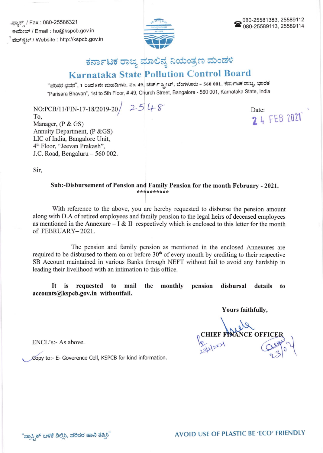.ಫ್ಯಾಕ್ / Fax : 080-25586321 ಕಃಮೇಲ್ / Email : ho@kspcb.gov.in ಮೆಬ್ ಸ್ಟೆಟ್ / Website : http://kspcb.gov.in



## ಕರ್ನಾಟಕ ರಾಜ್ಯ ಮಾಲಿನ್ಯ ನಿಯಂತ್ರಣ ಮಂಡಳಿ

## Karnataka State Pollution Control Board

"ಪರಿಸರ ಭವನ", 1 ರಿಂದ 5ನೇ ಮಹಡಿಗಳು, ನಂ. 49, ಚರ್ಚ್ ಸ್ಟ್ರೀಟ್, ಬೆಂಗಳೂರು - 560 001, ಕರ್ನಾಟಕ ರಾಜ್ಯ, ಭಾರತ 'Furd .Parisara Bhavan', 1st to sth Floor, # 49, Church Street, Bangalore - 560 001, Kamataka state, lndia

NO:PCB/11/FIN-17-18/2019-20 25 48 To, Manager, (P & GS) Armuity Department, (P &GS) LIC of India, Bangalore Unit, 46 Floor, "Jeevan Prakash", J.C. Road, Bengaluru - 560 002.

Date: 24 FEB 2021

Sir,

Sub:-Disbursement of Pension and Family Pension for the month February - 2021.

With reference to the above, you are hereby requested to disburse the pension amount along with D.A of retired employees and family pension to the legal heirs of deceased employees as mentioned in the Annexure  $-I & II$  respectively which is enclosed to this letter for the month of FEBRUARY-2021.

The pension and family pension as mentioned in the enclosed Annexures are required to be disbursed to them on or before  $30<sup>th</sup>$  of every month by crediting to their respective SB Account maintained in various Banks through NEFT without fail to avoid any hardship in leading their livelihood with an intimation to this office.

It is requested to mail the monthly pension disbursal details to accounts@kspcb.gov.in withoutfail.

Yours faithfully,

TANCE OFFIC  $231 - 23$ 

ENCL's:- As above.

Copy to:- E- Goverence Cell, KSPCB for kind information.